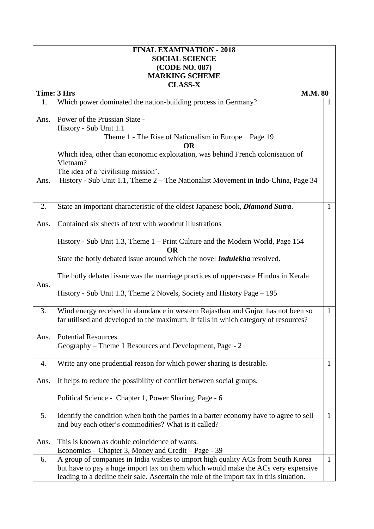|      | <b>FINAL EXAMINATION - 2018</b>                                                                                                                                               |              |
|------|-------------------------------------------------------------------------------------------------------------------------------------------------------------------------------|--------------|
|      | <b>SOCIAL SCIENCE</b><br>(CODE NO. 087)                                                                                                                                       |              |
|      | <b>MARKING SCHEME</b>                                                                                                                                                         |              |
|      | <b>CLASS-X</b>                                                                                                                                                                |              |
|      | Time: 3 Hrs<br><b>M.M. 80</b>                                                                                                                                                 |              |
| 1.   | Which power dominated the nation-building process in Germany?                                                                                                                 | 1            |
| Ans. | Power of the Prussian State -                                                                                                                                                 |              |
|      | History - Sub Unit 1.1                                                                                                                                                        |              |
|      | Theme 1 - The Rise of Nationalism in Europe<br>Page 19<br><b>OR</b>                                                                                                           |              |
|      | Which idea, other than economic exploitation, was behind French colonisation of<br>Vietnam?                                                                                   |              |
|      | The idea of a 'civilising mission'.                                                                                                                                           |              |
| Ans. | History - Sub Unit 1.1, Theme 2 – The Nationalist Movement in Indo-China, Page 34                                                                                             |              |
|      |                                                                                                                                                                               |              |
| 2.   | State an important characteristic of the oldest Japanese book, Diamond Sutra.                                                                                                 | $\mathbf{1}$ |
| Ans. | Contained six sheets of text with woodcut illustrations                                                                                                                       |              |
|      | History - Sub Unit 1.3, Theme 1 – Print Culture and the Modern World, Page 154<br><b>OR</b>                                                                                   |              |
|      | State the hotly debated issue around which the novel Indulekha revolved.                                                                                                      |              |
| Ans. | The hotly debated issue was the marriage practices of upper-caste Hindus in Kerala                                                                                            |              |
|      | History - Sub Unit 1.3, Theme 2 Novels, Society and History Page – 195                                                                                                        |              |
| 3.   | Wind energy received in abundance in western Rajasthan and Gujrat has not been so<br>far utilised and developed to the maximum. It falls in which category of resources?      | $\mathbf{1}$ |
| Ans. | <b>Potential Resources.</b>                                                                                                                                                   |              |
|      | Geography - Theme 1 Resources and Development, Page - 2                                                                                                                       |              |
| 4.   | Write any one prudential reason for which power sharing is desirable.                                                                                                         | 1            |
| Ans. | It helps to reduce the possibility of conflict between social groups.                                                                                                         |              |
|      | Political Science - Chapter 1, Power Sharing, Page - 6                                                                                                                        |              |
| 5.   | Identify the condition when both the parties in a barter economy have to agree to sell                                                                                        | $\mathbf{1}$ |
|      | and buy each other's commodities? What is it called?                                                                                                                          |              |
| Ans. | This is known as double coincidence of wants.                                                                                                                                 |              |
|      | Economics – Chapter 3, Money and Credit – Page - 39                                                                                                                           |              |
| 6.   | A group of companies in India wishes to import high quality ACs from South Korea                                                                                              | $\mathbf{1}$ |
|      | but have to pay a huge import tax on them which would make the ACs very expensive<br>leading to a decline their sale. Ascertain the role of the import tax in this situation. |              |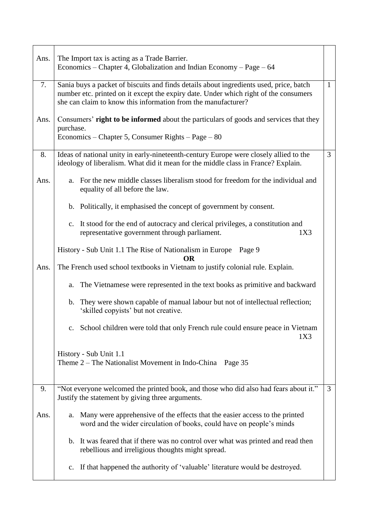| Ans. | The Import tax is acting as a Trade Barrier.<br>Economics – Chapter 4, Globalization and Indian Economy – Page – 64                                                                                                                                             |   |  |
|------|-----------------------------------------------------------------------------------------------------------------------------------------------------------------------------------------------------------------------------------------------------------------|---|--|
| 7.   | Sania buys a packet of biscuits and finds details about ingredients used, price, batch<br>$\mathbf{1}$<br>number etc. printed on it except the expiry date. Under which right of the consumers<br>she can claim to know this information from the manufacturer? |   |  |
| Ans. | Consumers' right to be informed about the particulars of goods and services that they<br>purchase.<br>Economics – Chapter 5, Consumer Rights – Page – 80                                                                                                        |   |  |
| 8.   | Ideas of national unity in early-nineteenth-century Europe were closely allied to the<br>ideology of liberalism. What did it mean for the middle class in France? Explain.                                                                                      | 3 |  |
| Ans. | For the new middle classes liberalism stood for freedom for the individual and<br>a.<br>equality of all before the law.                                                                                                                                         |   |  |
|      | b. Politically, it emphasised the concept of government by consent.                                                                                                                                                                                             |   |  |
|      | c. It stood for the end of autocracy and clerical privileges, a constitution and<br>representative government through parliament.<br>1X3                                                                                                                        |   |  |
|      | History - Sub Unit 1.1 The Rise of Nationalism in Europe Page 9<br><b>OR</b>                                                                                                                                                                                    |   |  |
| Ans. | The French used school textbooks in Vietnam to justify colonial rule. Explain.                                                                                                                                                                                  |   |  |
|      | a. The Vietnamese were represented in the text books as primitive and backward                                                                                                                                                                                  |   |  |
|      | b. They were shown capable of manual labour but not of intellectual reflection;<br>'skilled copyists' but not creative.                                                                                                                                         |   |  |
|      | c. School children were told that only French rule could ensure peace in Vietnam<br>1X3                                                                                                                                                                         |   |  |
|      | History - Sub Unit 1.1<br>Theme $2$ – The Nationalist Movement in Indo-China Page 35                                                                                                                                                                            |   |  |
| 9.   | "Not everyone welcomed the printed book, and those who did also had fears about it."<br>Justify the statement by giving three arguments.                                                                                                                        | 3 |  |
| Ans. | a. Many were apprehensive of the effects that the easier access to the printed<br>word and the wider circulation of books, could have on people's minds                                                                                                         |   |  |
|      | b. It was feared that if there was no control over what was printed and read then<br>rebellious and irreligious thoughts might spread.                                                                                                                          |   |  |
|      | c. If that happened the authority of 'valuable' literature would be destroyed.                                                                                                                                                                                  |   |  |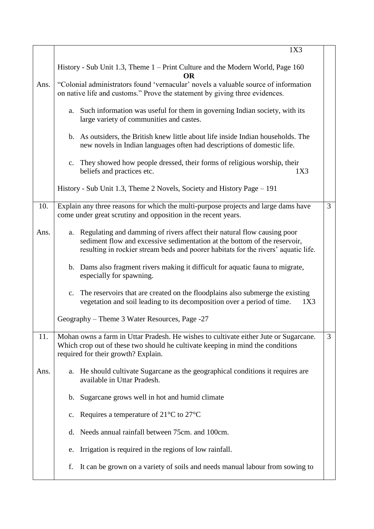|      | 1X3                                                                                                                                                                                                                                                               |                |
|------|-------------------------------------------------------------------------------------------------------------------------------------------------------------------------------------------------------------------------------------------------------------------|----------------|
| Ans. | History - Sub Unit 1.3, Theme 1 – Print Culture and the Modern World, Page 160<br><b>OR</b><br>"Colonial administrators found 'vernacular' novels a valuable source of information<br>on native life and customs." Prove the statement by giving three evidences. |                |
|      | a. Such information was useful for them in governing Indian society, with its<br>large variety of communities and castes.                                                                                                                                         |                |
|      | b. As outsiders, the British knew little about life inside Indian households. The<br>new novels in Indian languages often had descriptions of domestic life.                                                                                                      |                |
|      | c. They showed how people dressed, their forms of religious worship, their<br>beliefs and practices etc.<br>1X3                                                                                                                                                   |                |
|      | History - Sub Unit 1.3, Theme 2 Novels, Society and History Page – 191                                                                                                                                                                                            |                |
| 10.  | Explain any three reasons for which the multi-purpose projects and large dams have<br>come under great scrutiny and opposition in the recent years.                                                                                                               | $\overline{3}$ |
| Ans. | a. Regulating and damming of rivers affect their natural flow causing poor<br>sediment flow and excessive sedimentation at the bottom of the reservoir,<br>resulting in rockier stream beds and poorer habitats for the rivers' aquatic life.                     |                |
|      | b. Dams also fragment rivers making it difficult for aquatic fauna to migrate,<br>especially for spawning.                                                                                                                                                        |                |
|      | c. The reservoirs that are created on the floodplains also submerge the existing<br>vegetation and soil leading to its decomposition over a period of time.<br>1X3                                                                                                |                |
|      | Geography – Theme 3 Water Resources, Page -27                                                                                                                                                                                                                     |                |
| 11.  | Mohan owns a farm in Uttar Pradesh. He wishes to cultivate either Jute or Sugarcane.<br>Which crop out of these two should he cultivate keeping in mind the conditions<br>required for their growth? Explain.                                                     | 3              |
| Ans. | He should cultivate Sugarcane as the geographical conditions it requires are<br>a.<br>available in Uttar Pradesh.                                                                                                                                                 |                |
|      | Sugarcane grows well in hot and humid climate<br>$\mathbf{b}$ .                                                                                                                                                                                                   |                |
|      | Requires a temperature of $21^{\circ}$ C to $27^{\circ}$ C<br>$\mathbf{c}$ .                                                                                                                                                                                      |                |
|      | Needs annual rainfall between 75cm, and 100cm.<br>d.                                                                                                                                                                                                              |                |
|      | Irrigation is required in the regions of low rainfall.<br>e.                                                                                                                                                                                                      |                |
|      | It can be grown on a variety of soils and needs manual labour from sowing to<br>f.                                                                                                                                                                                |                |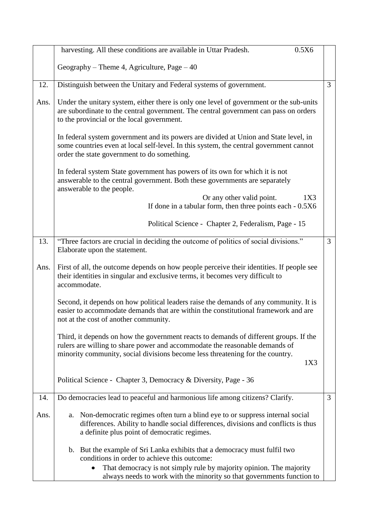|      | 0.5X6<br>harvesting. All these conditions are available in Uttar Pradesh.                                                                                                                                                                                                     |   |
|------|-------------------------------------------------------------------------------------------------------------------------------------------------------------------------------------------------------------------------------------------------------------------------------|---|
|      | Geography – Theme 4, Agriculture, Page – $40$                                                                                                                                                                                                                                 |   |
| 12.  | Distinguish between the Unitary and Federal systems of government.                                                                                                                                                                                                            | 3 |
| Ans. | Under the unitary system, either there is only one level of government or the sub-units<br>are subordinate to the central government. The central government can pass on orders<br>to the provincial or the local government.                                                 |   |
|      | In federal system government and its powers are divided at Union and State level, in<br>some countries even at local self-level. In this system, the central government cannot<br>order the state government to do something.                                                 |   |
|      | In federal system State government has powers of its own for which it is not<br>answerable to the central government. Both these governments are separately<br>answerable to the people.                                                                                      |   |
|      | Or any other valid point.<br>1X3                                                                                                                                                                                                                                              |   |
|      | If done in a tabular form, then three points each - 0.5X6                                                                                                                                                                                                                     |   |
|      | Political Science - Chapter 2, Federalism, Page - 15                                                                                                                                                                                                                          |   |
| 13.  | "Three factors are crucial in deciding the outcome of politics of social divisions."<br>Elaborate upon the statement.                                                                                                                                                         | 3 |
| Ans. | First of all, the outcome depends on how people perceive their identities. If people see<br>their identities in singular and exclusive terms, it becomes very difficult to<br>accommodate.                                                                                    |   |
|      | Second, it depends on how political leaders raise the demands of any community. It is<br>easier to accommodate demands that are within the constitutional framework and are<br>not at the cost of another community.                                                          |   |
|      | Third, it depends on how the government reacts to demands of different groups. If the<br>rulers are willing to share power and accommodate the reasonable demands of<br>minority community, social divisions become less threatening for the country.<br>1X3                  |   |
|      | Political Science - Chapter 3, Democracy & Diversity, Page - 36                                                                                                                                                                                                               |   |
| 14.  | Do democracies lead to peaceful and harmonious life among citizens? Clarify.                                                                                                                                                                                                  | 3 |
| Ans. | Non-democratic regimes often turn a blind eye to or suppress internal social<br>a.<br>differences. Ability to handle social differences, divisions and conflicts is thus<br>a definite plus point of democratic regimes.                                                      |   |
|      | But the example of Sri Lanka exhibits that a democracy must fulfil two<br>b.<br>conditions in order to achieve this outcome:<br>That democracy is not simply rule by majority opinion. The majority<br>always needs to work with the minority so that governments function to |   |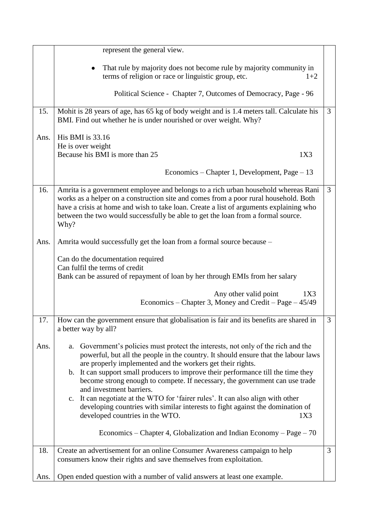|      | represent the general view.                                                                                                                                                                                                                                                                                                                                                                                                                                                                                                                                                                                                                                                                                                      |                |
|------|----------------------------------------------------------------------------------------------------------------------------------------------------------------------------------------------------------------------------------------------------------------------------------------------------------------------------------------------------------------------------------------------------------------------------------------------------------------------------------------------------------------------------------------------------------------------------------------------------------------------------------------------------------------------------------------------------------------------------------|----------------|
|      | That rule by majority does not become rule by majority community in<br>terms of religion or race or linguistic group, etc.<br>$1+2$                                                                                                                                                                                                                                                                                                                                                                                                                                                                                                                                                                                              |                |
|      | Political Science - Chapter 7, Outcomes of Democracy, Page - 96                                                                                                                                                                                                                                                                                                                                                                                                                                                                                                                                                                                                                                                                  |                |
| 15.  | Mohit is 28 years of age, has 65 kg of body weight and is 1.4 meters tall. Calculate his<br>BMI. Find out whether he is under nourished or over weight. Why?                                                                                                                                                                                                                                                                                                                                                                                                                                                                                                                                                                     | 3              |
| Ans. | His BMI is 33.16<br>He is over weight<br>Because his BMI is more than 25<br>1X3                                                                                                                                                                                                                                                                                                                                                                                                                                                                                                                                                                                                                                                  |                |
|      | Economics – Chapter 1, Development, Page – 13                                                                                                                                                                                                                                                                                                                                                                                                                                                                                                                                                                                                                                                                                    |                |
| 16.  | Amrita is a government employee and belongs to a rich urban household whereas Rani<br>works as a helper on a construction site and comes from a poor rural household. Both<br>have a crisis at home and wish to take loan. Create a list of arguments explaining who<br>between the two would successfully be able to get the loan from a formal source.<br>Why?                                                                                                                                                                                                                                                                                                                                                                 | $\overline{3}$ |
| Ans. | Amrita would successfully get the loan from a formal source because –                                                                                                                                                                                                                                                                                                                                                                                                                                                                                                                                                                                                                                                            |                |
|      | Can do the documentation required<br>Can fulfil the terms of credit<br>Bank can be assured of repayment of loan by her through EMIs from her salary                                                                                                                                                                                                                                                                                                                                                                                                                                                                                                                                                                              |                |
|      | Any other valid point<br>1X3<br>Economics – Chapter 3, Money and Credit – Page – 45/49                                                                                                                                                                                                                                                                                                                                                                                                                                                                                                                                                                                                                                           |                |
| 17.  | How can the government ensure that globalisation is fair and its benefits are shared in<br>a better way by all?                                                                                                                                                                                                                                                                                                                                                                                                                                                                                                                                                                                                                  | 3              |
| Ans. | Government's policies must protect the interests, not only of the rich and the<br>a.<br>powerful, but all the people in the country. It should ensure that the labour laws<br>are properly implemented and the workers get their rights.<br>b. It can support small producers to improve their performance till the time they<br>become strong enough to compete. If necessary, the government can use trade<br>and investment barriers.<br>c. It can negotiate at the WTO for 'fairer rules'. It can also align with other<br>developing countries with similar interests to fight against the domination of<br>developed countries in the WTO.<br>1X3<br>Economics – Chapter 4, Globalization and Indian Economy – Page – $70$ |                |
|      |                                                                                                                                                                                                                                                                                                                                                                                                                                                                                                                                                                                                                                                                                                                                  |                |
| 18.  | Create an advertisement for an online Consumer Awareness campaign to help<br>consumers know their rights and save themselves from exploitation.                                                                                                                                                                                                                                                                                                                                                                                                                                                                                                                                                                                  | 3              |
| Ans. | Open ended question with a number of valid answers at least one example.                                                                                                                                                                                                                                                                                                                                                                                                                                                                                                                                                                                                                                                         |                |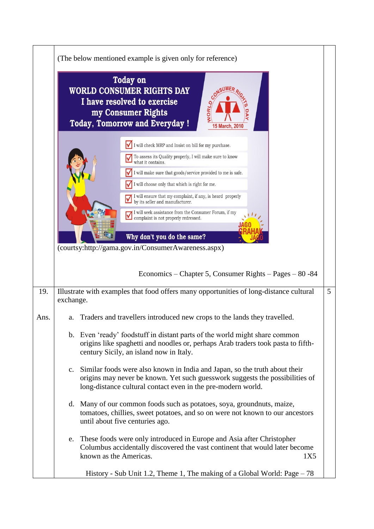|      | (The below mentioned example is given only for reference)                                                                                                                                                                                    |   |
|------|----------------------------------------------------------------------------------------------------------------------------------------------------------------------------------------------------------------------------------------------|---|
|      | <b>Today on</b>                                                                                                                                                                                                                              |   |
|      | <b>WORLD CONSUMER RIGHTS DAY</b>                                                                                                                                                                                                             |   |
|      | I have resolved to exercise<br>my Consumer Rights                                                                                                                                                                                            |   |
|      | <b>Today, Tomorrow and Everyday!</b><br>15 March, 2010                                                                                                                                                                                       |   |
|      |                                                                                                                                                                                                                                              |   |
|      | I will check MRP and Insist on bill for my purchase.                                                                                                                                                                                         |   |
|      | To assess its Quality properly, I will make sure to know<br>what it contains.                                                                                                                                                                |   |
|      | will make sure that goods/service provided to me is safe.                                                                                                                                                                                    |   |
|      | I will choose only that which is right for me.                                                                                                                                                                                               |   |
|      | I will ensure that my complaint, if any, is heard properly<br>by its seller and manufacturer.                                                                                                                                                |   |
|      | I will seek assistance from the Consumer Forum, if my<br>$\blacktriangledown$<br>complaint is not properly redressed.                                                                                                                        |   |
|      |                                                                                                                                                                                                                                              |   |
|      | Why don't you do the same?<br>(courtsy:http://gama.gov.in/ConsumerAwareness.aspx)                                                                                                                                                            |   |
|      |                                                                                                                                                                                                                                              |   |
|      | Economics – Chapter 5, Consumer Rights – Pages – 80 - 84                                                                                                                                                                                     |   |
|      |                                                                                                                                                                                                                                              |   |
| 19.  | Illustrate with examples that food offers many opportunities of long-distance cultural<br>exchange.                                                                                                                                          | 5 |
| Ans. | Traders and travellers introduced new crops to the lands they travelled.<br>a.                                                                                                                                                               |   |
|      | b. Even 'ready' foodstuff in distant parts of the world might share common<br>origins like spaghetti and noodles or, perhaps Arab traders took pasta to fifth-<br>century Sicily, an island now in Italy.                                    |   |
|      | Similar foods were also known in India and Japan, so the truth about their<br>$\mathbf{c}$ .<br>origins may never be known. Yet such guesswork suggests the possibilities of<br>long-distance cultural contact even in the pre-modern world. |   |
|      | Many of our common foods such as potatoes, soya, groundnuts, maize,<br>d.<br>tomatoes, chillies, sweet potatoes, and so on were not known to our ancestors<br>until about five centuries ago.                                                |   |
|      | These foods were only introduced in Europe and Asia after Christopher<br>e.<br>Columbus accidentally discovered the vast continent that would later become<br>known as the Americas.<br>1X5                                                  |   |
|      | History - Sub Unit 1.2, Theme 1, The making of a Global World: Page - 78                                                                                                                                                                     |   |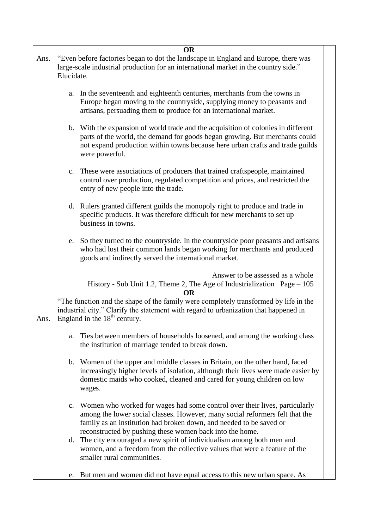|      |            | <b>OR</b>                                                                                                                                                                                                                                                           |
|------|------------|---------------------------------------------------------------------------------------------------------------------------------------------------------------------------------------------------------------------------------------------------------------------|
| Ans. | Elucidate. | "Even before factories began to dot the landscape in England and Europe, there was<br>large-scale industrial production for an international market in the country side."                                                                                           |
|      |            | a. In the seventeenth and eighteenth centuries, merchants from the towns in<br>Europe began moving to the countryside, supplying money to peasants and<br>artisans, persuading them to produce for an international market.                                         |
|      |            | b. With the expansion of world trade and the acquisition of colonies in different<br>parts of the world, the demand for goods began growing. But merchants could<br>not expand production within towns because here urban crafts and trade guilds<br>were powerful. |
|      |            | c. These were associations of producers that trained craftspeople, maintained<br>control over production, regulated competition and prices, and restricted the<br>entry of new people into the trade.                                                               |
|      |            | d. Rulers granted different guilds the monopoly right to produce and trade in<br>specific products. It was therefore difficult for new merchants to set up<br>business in towns.                                                                                    |
|      |            | e. So they turned to the countryside. In the countryside poor peasants and artisans<br>who had lost their common lands began working for merchants and produced<br>goods and indirectly served the international market.                                            |
|      |            | Answer to be assessed as a whole<br>History - Sub Unit 1.2, Theme 2, The Age of Industrialization $Page - 105$<br><b>OR</b>                                                                                                                                         |
| Ans. |            | "The function and the shape of the family were completely transformed by life in the<br>industrial city." Clarify the statement with regard to urbanization that happened in<br>England in the 18 <sup>th</sup> century.                                            |
|      | a.         | Ties between members of households loosened, and among the working class<br>the institution of marriage tended to break down.                                                                                                                                       |
|      | wages.     | b. Women of the upper and middle classes in Britain, on the other hand, faced<br>increasingly higher levels of isolation, although their lives were made easier by<br>domestic maids who cooked, cleaned and cared for young children on low                        |
|      |            | c. Women who worked for wages had some control over their lives, particularly<br>among the lower social classes. However, many social reformers felt that the<br>family as an institution had broken down, and needed to be saved or                                |
|      |            | reconstructed by pushing these women back into the home.<br>d. The city encouraged a new spirit of individualism among both men and<br>women, and a freedom from the collective values that were a feature of the<br>smaller rural communities.                     |
|      |            | e. But men and women did not have equal access to this new urban space. As                                                                                                                                                                                          |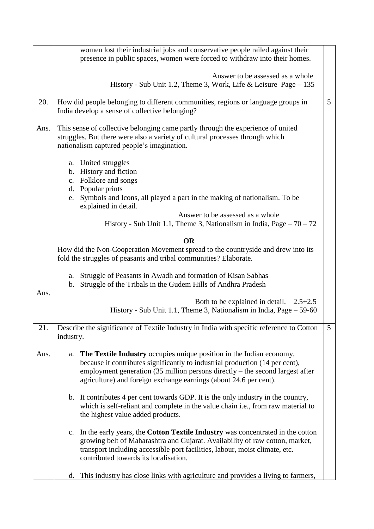| presence in public spaces, women were forced to withdraw into their homes.<br>Answer to be assessed as a whole<br>History - Sub Unit 1.2, Theme 3, Work, Life & Leisure Page $-135$<br>How did people belonging to different communities, regions or language groups in<br>20.<br>5<br>India develop a sense of collective belonging?<br>This sense of collective belonging came partly through the experience of united<br>Ans.<br>struggles. But there were also a variety of cultural processes through which<br>nationalism captured people's imagination.<br>a. United struggles<br>b. History and fiction<br>c. Folklore and songs<br>d. Popular prints<br>Symbols and Icons, all played a part in the making of nationalism. To be<br>e.<br>explained in detail.<br>Answer to be assessed as a whole<br>History - Sub Unit 1.1, Theme 3, Nationalism in India, Page $-70-72$<br><b>OR</b><br>How did the Non-Cooperation Movement spread to the countryside and drew into its<br>fold the struggles of peasants and tribal communities? Elaborate.<br>a. Struggle of Peasants in Awadh and formation of Kisan Sabhas<br>Struggle of the Tribals in the Gudem Hills of Andhra Pradesh<br>b.<br>Ans.<br>Both to be explained in detail. $2.5+2.5$<br>History - Sub Unit 1.1, Theme 3, Nationalism in India, Page – 59-60<br>21.<br>Describe the significance of Textile Industry in India with specific reference to Cotton<br>5<br>industry.<br>The Textile Industry occupies unique position in the Indian economy,<br>Ans.<br>a.<br>because it contributes significantly to industrial production (14 per cent),<br>employment generation $(35 \text{ million persons directly} -$ the second largest after<br>agriculture) and foreign exchange earnings (about 24.6 per cent).<br>b. It contributes 4 per cent towards GDP. It is the only industry in the country,<br>which is self-reliant and complete in the value chain i.e., from raw material to<br>the highest value added products.<br>c. In the early years, the <b>Cotton Textile Industry</b> was concentrated in the cotton<br>growing belt of Maharashtra and Gujarat. Availability of raw cotton, market,<br>transport including accessible port facilities, labour, moist climate, etc.<br>contributed towards its localisation. | women lost their industrial jobs and conservative people railed against their |  |
|------------------------------------------------------------------------------------------------------------------------------------------------------------------------------------------------------------------------------------------------------------------------------------------------------------------------------------------------------------------------------------------------------------------------------------------------------------------------------------------------------------------------------------------------------------------------------------------------------------------------------------------------------------------------------------------------------------------------------------------------------------------------------------------------------------------------------------------------------------------------------------------------------------------------------------------------------------------------------------------------------------------------------------------------------------------------------------------------------------------------------------------------------------------------------------------------------------------------------------------------------------------------------------------------------------------------------------------------------------------------------------------------------------------------------------------------------------------------------------------------------------------------------------------------------------------------------------------------------------------------------------------------------------------------------------------------------------------------------------------------------------------------------------------------------------------------------------------------------------------------------------------------------------------------------------------------------------------------------------------------------------------------------------------------------------------------------------------------------------------------------------------------------------------------------------------------------------------------------------------------------------------------------------------------------------|-------------------------------------------------------------------------------|--|
|                                                                                                                                                                                                                                                                                                                                                                                                                                                                                                                                                                                                                                                                                                                                                                                                                                                                                                                                                                                                                                                                                                                                                                                                                                                                                                                                                                                                                                                                                                                                                                                                                                                                                                                                                                                                                                                                                                                                                                                                                                                                                                                                                                                                                                                                                                            |                                                                               |  |
|                                                                                                                                                                                                                                                                                                                                                                                                                                                                                                                                                                                                                                                                                                                                                                                                                                                                                                                                                                                                                                                                                                                                                                                                                                                                                                                                                                                                                                                                                                                                                                                                                                                                                                                                                                                                                                                                                                                                                                                                                                                                                                                                                                                                                                                                                                            |                                                                               |  |
|                                                                                                                                                                                                                                                                                                                                                                                                                                                                                                                                                                                                                                                                                                                                                                                                                                                                                                                                                                                                                                                                                                                                                                                                                                                                                                                                                                                                                                                                                                                                                                                                                                                                                                                                                                                                                                                                                                                                                                                                                                                                                                                                                                                                                                                                                                            |                                                                               |  |
|                                                                                                                                                                                                                                                                                                                                                                                                                                                                                                                                                                                                                                                                                                                                                                                                                                                                                                                                                                                                                                                                                                                                                                                                                                                                                                                                                                                                                                                                                                                                                                                                                                                                                                                                                                                                                                                                                                                                                                                                                                                                                                                                                                                                                                                                                                            |                                                                               |  |
|                                                                                                                                                                                                                                                                                                                                                                                                                                                                                                                                                                                                                                                                                                                                                                                                                                                                                                                                                                                                                                                                                                                                                                                                                                                                                                                                                                                                                                                                                                                                                                                                                                                                                                                                                                                                                                                                                                                                                                                                                                                                                                                                                                                                                                                                                                            |                                                                               |  |
|                                                                                                                                                                                                                                                                                                                                                                                                                                                                                                                                                                                                                                                                                                                                                                                                                                                                                                                                                                                                                                                                                                                                                                                                                                                                                                                                                                                                                                                                                                                                                                                                                                                                                                                                                                                                                                                                                                                                                                                                                                                                                                                                                                                                                                                                                                            |                                                                               |  |
|                                                                                                                                                                                                                                                                                                                                                                                                                                                                                                                                                                                                                                                                                                                                                                                                                                                                                                                                                                                                                                                                                                                                                                                                                                                                                                                                                                                                                                                                                                                                                                                                                                                                                                                                                                                                                                                                                                                                                                                                                                                                                                                                                                                                                                                                                                            |                                                                               |  |
|                                                                                                                                                                                                                                                                                                                                                                                                                                                                                                                                                                                                                                                                                                                                                                                                                                                                                                                                                                                                                                                                                                                                                                                                                                                                                                                                                                                                                                                                                                                                                                                                                                                                                                                                                                                                                                                                                                                                                                                                                                                                                                                                                                                                                                                                                                            |                                                                               |  |
|                                                                                                                                                                                                                                                                                                                                                                                                                                                                                                                                                                                                                                                                                                                                                                                                                                                                                                                                                                                                                                                                                                                                                                                                                                                                                                                                                                                                                                                                                                                                                                                                                                                                                                                                                                                                                                                                                                                                                                                                                                                                                                                                                                                                                                                                                                            |                                                                               |  |
|                                                                                                                                                                                                                                                                                                                                                                                                                                                                                                                                                                                                                                                                                                                                                                                                                                                                                                                                                                                                                                                                                                                                                                                                                                                                                                                                                                                                                                                                                                                                                                                                                                                                                                                                                                                                                                                                                                                                                                                                                                                                                                                                                                                                                                                                                                            |                                                                               |  |
|                                                                                                                                                                                                                                                                                                                                                                                                                                                                                                                                                                                                                                                                                                                                                                                                                                                                                                                                                                                                                                                                                                                                                                                                                                                                                                                                                                                                                                                                                                                                                                                                                                                                                                                                                                                                                                                                                                                                                                                                                                                                                                                                                                                                                                                                                                            |                                                                               |  |
|                                                                                                                                                                                                                                                                                                                                                                                                                                                                                                                                                                                                                                                                                                                                                                                                                                                                                                                                                                                                                                                                                                                                                                                                                                                                                                                                                                                                                                                                                                                                                                                                                                                                                                                                                                                                                                                                                                                                                                                                                                                                                                                                                                                                                                                                                                            |                                                                               |  |
|                                                                                                                                                                                                                                                                                                                                                                                                                                                                                                                                                                                                                                                                                                                                                                                                                                                                                                                                                                                                                                                                                                                                                                                                                                                                                                                                                                                                                                                                                                                                                                                                                                                                                                                                                                                                                                                                                                                                                                                                                                                                                                                                                                                                                                                                                                            |                                                                               |  |
|                                                                                                                                                                                                                                                                                                                                                                                                                                                                                                                                                                                                                                                                                                                                                                                                                                                                                                                                                                                                                                                                                                                                                                                                                                                                                                                                                                                                                                                                                                                                                                                                                                                                                                                                                                                                                                                                                                                                                                                                                                                                                                                                                                                                                                                                                                            |                                                                               |  |
|                                                                                                                                                                                                                                                                                                                                                                                                                                                                                                                                                                                                                                                                                                                                                                                                                                                                                                                                                                                                                                                                                                                                                                                                                                                                                                                                                                                                                                                                                                                                                                                                                                                                                                                                                                                                                                                                                                                                                                                                                                                                                                                                                                                                                                                                                                            |                                                                               |  |
|                                                                                                                                                                                                                                                                                                                                                                                                                                                                                                                                                                                                                                                                                                                                                                                                                                                                                                                                                                                                                                                                                                                                                                                                                                                                                                                                                                                                                                                                                                                                                                                                                                                                                                                                                                                                                                                                                                                                                                                                                                                                                                                                                                                                                                                                                                            |                                                                               |  |
| This industry has close links with agriculture and provides a living to farmers,<br>d.                                                                                                                                                                                                                                                                                                                                                                                                                                                                                                                                                                                                                                                                                                                                                                                                                                                                                                                                                                                                                                                                                                                                                                                                                                                                                                                                                                                                                                                                                                                                                                                                                                                                                                                                                                                                                                                                                                                                                                                                                                                                                                                                                                                                                     |                                                                               |  |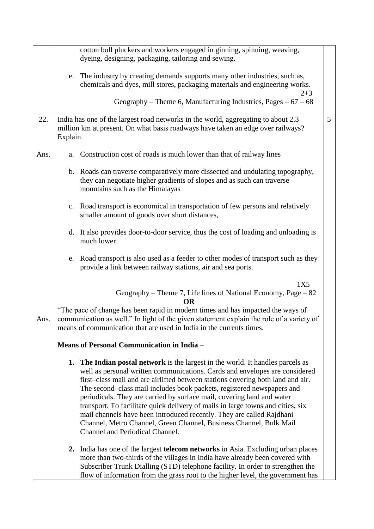|      |          | cotton boll pluckers and workers engaged in ginning, spinning, weaving,<br>dyeing, designing, packaging, tailoring and sewing.                                                                                                                                                                                                                                                                                                                                                                                                                                                                                                                                             |   |
|------|----------|----------------------------------------------------------------------------------------------------------------------------------------------------------------------------------------------------------------------------------------------------------------------------------------------------------------------------------------------------------------------------------------------------------------------------------------------------------------------------------------------------------------------------------------------------------------------------------------------------------------------------------------------------------------------------|---|
|      |          | e. The industry by creating demands supports many other industries, such as,<br>chemicals and dyes, mill stores, packaging materials and engineering works.                                                                                                                                                                                                                                                                                                                                                                                                                                                                                                                |   |
|      |          | $2 + 3$<br>Geography – Theme 6, Manufacturing Industries, Pages – $67 - 68$                                                                                                                                                                                                                                                                                                                                                                                                                                                                                                                                                                                                |   |
| 22.  | Explain. | India has one of the largest road networks in the world, aggregating to about 2.3<br>million km at present. On what basis roadways have taken an edge over railways?                                                                                                                                                                                                                                                                                                                                                                                                                                                                                                       | 5 |
| Ans. | a.       | Construction cost of roads is much lower than that of railway lines                                                                                                                                                                                                                                                                                                                                                                                                                                                                                                                                                                                                        |   |
|      |          | b. Roads can traverse comparatively more dissected and undulating topography,<br>they can negotiate higher gradients of slopes and as such can traverse<br>mountains such as the Himalayas                                                                                                                                                                                                                                                                                                                                                                                                                                                                                 |   |
|      |          | c. Road transport is economical in transportation of few persons and relatively<br>smaller amount of goods over short distances,                                                                                                                                                                                                                                                                                                                                                                                                                                                                                                                                           |   |
|      |          | d. It also provides door-to-door service, thus the cost of loading and unloading is<br>much lower                                                                                                                                                                                                                                                                                                                                                                                                                                                                                                                                                                          |   |
|      |          | e. Road transport is also used as a feeder to other modes of transport such as they<br>provide a link between railway stations, air and sea ports.                                                                                                                                                                                                                                                                                                                                                                                                                                                                                                                         |   |
|      |          | 1X5<br>Geography – Theme 7, Life lines of National Economy, Page $-82$<br><b>OR</b>                                                                                                                                                                                                                                                                                                                                                                                                                                                                                                                                                                                        |   |
| Ans. |          | "The pace of change has been rapid in modern times and has impacted the ways of<br>communication as well." In light of the given statement explain the role of a variety of<br>means of communication that are used in India in the currents times.                                                                                                                                                                                                                                                                                                                                                                                                                        |   |
|      |          | <b>Means of Personal Communication in India -</b>                                                                                                                                                                                                                                                                                                                                                                                                                                                                                                                                                                                                                          |   |
|      |          | 1. The Indian postal network is the largest in the world. It handles parcels as<br>well as personal written communications. Cards and envelopes are considered<br>first-class mail and are airlifted between stations covering both land and air.<br>The second-class mail includes book packets, registered newspapers and<br>periodicals. They are carried by surface mail, covering land and water<br>transport. To facilitate quick delivery of mails in large towns and cities, six<br>mail channels have been introduced recently. They are called Rajdhani<br>Channel, Metro Channel, Green Channel, Business Channel, Bulk Mail<br>Channel and Periodical Channel. |   |
|      |          | 2. India has one of the largest <b>telecom networks</b> in Asia. Excluding urban places<br>more than two-thirds of the villages in India have already been covered with<br>Subscriber Trunk Dialling (STD) telephone facility. In order to strengthen the<br>flow of information from the grass root to the higher level, the government has                                                                                                                                                                                                                                                                                                                               |   |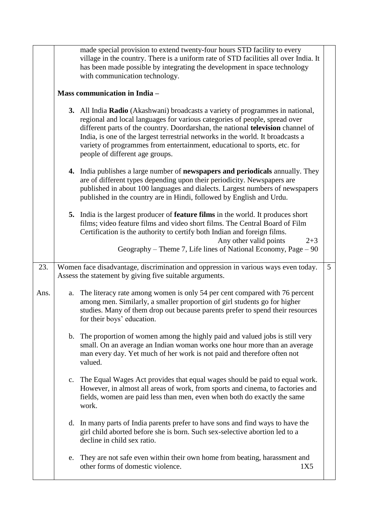|      |    | made special provision to extend twenty-four hours STD facility to every<br>village in the country. There is a uniform rate of STD facilities all over India. It<br>has been made possible by integrating the development in space technology<br>with communication technology.                                                                                                                                                                    |   |
|------|----|----------------------------------------------------------------------------------------------------------------------------------------------------------------------------------------------------------------------------------------------------------------------------------------------------------------------------------------------------------------------------------------------------------------------------------------------------|---|
|      |    | <b>Mass communication in India -</b>                                                                                                                                                                                                                                                                                                                                                                                                               |   |
|      |    | 3. All India Radio (Akashwani) broadcasts a variety of programmes in national,<br>regional and local languages for various categories of people, spread over<br>different parts of the country. Doordarshan, the national television channel of<br>India, is one of the largest terrestrial networks in the world. It broadcasts a<br>variety of programmes from entertainment, educational to sports, etc. for<br>people of different age groups. |   |
|      |    | 4. India publishes a large number of <b>newspapers and periodicals</b> annually. They<br>are of different types depending upon their periodicity. Newspapers are<br>published in about 100 languages and dialects. Largest numbers of newspapers<br>published in the country are in Hindi, followed by English and Urdu.                                                                                                                           |   |
|      |    | 5. India is the largest producer of <b>feature films</b> in the world. It produces short<br>films; video feature films and video short films. The Central Board of Film<br>Certification is the authority to certify both Indian and foreign films.<br>Any other valid points<br>$2 + 3$<br>Geography - Theme 7, Life lines of National Economy, Page - 90                                                                                         |   |
|      |    |                                                                                                                                                                                                                                                                                                                                                                                                                                                    |   |
| 23.  |    | Women face disadvantage, discrimination and oppression in various ways even today.<br>Assess the statement by giving five suitable arguments.                                                                                                                                                                                                                                                                                                      | 5 |
| Ans. |    | a. The literacy rate among women is only 54 per cent compared with 76 percent<br>among men. Similarly, a smaller proportion of girl students go for higher<br>studies. Many of them drop out because parents prefer to spend their resources<br>for their boys' education.                                                                                                                                                                         |   |
|      |    | b. The proportion of women among the highly paid and valued jobs is still very<br>small. On an average an Indian woman works one hour more than an average<br>man every day. Yet much of her work is not paid and therefore often not<br>valued.                                                                                                                                                                                                   |   |
|      |    | c. The Equal Wages Act provides that equal wages should be paid to equal work.<br>However, in almost all areas of work, from sports and cinema, to factories and<br>fields, women are paid less than men, even when both do exactly the same<br>work.                                                                                                                                                                                              |   |
|      |    | d. In many parts of India parents prefer to have sons and find ways to have the<br>girl child aborted before she is born. Such sex-selective abortion led to a<br>decline in child sex ratio.                                                                                                                                                                                                                                                      |   |
|      | e. | They are not safe even within their own home from beating, harassment and<br>other forms of domestic violence.<br>1X5                                                                                                                                                                                                                                                                                                                              |   |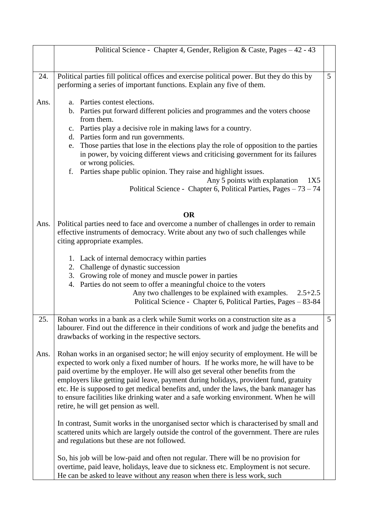|      | Political Science - Chapter 4, Gender, Religion & Caste, Pages - 42 - 43                                                                                                                                                                                                                                                                                                                                                                                                                                                                                                                                                     |   |
|------|------------------------------------------------------------------------------------------------------------------------------------------------------------------------------------------------------------------------------------------------------------------------------------------------------------------------------------------------------------------------------------------------------------------------------------------------------------------------------------------------------------------------------------------------------------------------------------------------------------------------------|---|
|      |                                                                                                                                                                                                                                                                                                                                                                                                                                                                                                                                                                                                                              |   |
| 24.  | Political parties fill political offices and exercise political power. But they do this by<br>performing a series of important functions. Explain any five of them.                                                                                                                                                                                                                                                                                                                                                                                                                                                          | 5 |
| Ans. | a. Parties contest elections.<br>b. Parties put forward different policies and programmes and the voters choose<br>from them.<br>c. Parties play a decisive role in making laws for a country.<br>d. Parties form and run governments.<br>e. Those parties that lose in the elections play the role of opposition to the parties<br>in power, by voicing different views and criticising government for its failures<br>or wrong policies.<br>f. Parties shape public opinion. They raise and highlight issues.<br>Any 5 points with explanation<br>1X5<br>Political Science - Chapter 6, Political Parties, Pages - 73 - 74 |   |
|      | <b>OR</b>                                                                                                                                                                                                                                                                                                                                                                                                                                                                                                                                                                                                                    |   |
| Ans. | Political parties need to face and overcome a number of challenges in order to remain<br>effective instruments of democracy. Write about any two of such challenges while<br>citing appropriate examples.                                                                                                                                                                                                                                                                                                                                                                                                                    |   |
|      | 1. Lack of internal democracy within parties<br>2. Challenge of dynastic succession<br>3. Growing role of money and muscle power in parties<br>4. Parties do not seem to offer a meaningful choice to the voters<br>Any two challenges to be explained with examples.<br>$2.5 + 2.5$<br>Political Science - Chapter 6, Political Parties, Pages - 83-84                                                                                                                                                                                                                                                                      |   |
| 25.  | Rohan works in a bank as a clerk while Sumit works on a construction site as a<br>labourer. Find out the difference in their conditions of work and judge the benefits and<br>drawbacks of working in the respective sectors.                                                                                                                                                                                                                                                                                                                                                                                                | 5 |
| Ans. | Rohan works in an organised sector; he will enjoy security of employment. He will be<br>expected to work only a fixed number of hours. If he works more, he will have to be<br>paid overtime by the employer. He will also get several other benefits from the<br>employers like getting paid leave, payment during holidays, provident fund, gratuity<br>etc. He is supposed to get medical benefits and, under the laws, the bank manager has<br>to ensure facilities like drinking water and a safe working environment. When he will<br>retire, he will get pension as well.                                             |   |
|      | In contrast, Sumit works in the unorganised sector which is characterised by small and<br>scattered units which are largely outside the control of the government. There are rules<br>and regulations but these are not followed.                                                                                                                                                                                                                                                                                                                                                                                            |   |
|      | So, his job will be low-paid and often not regular. There will be no provision for<br>overtime, paid leave, holidays, leave due to sickness etc. Employment is not secure.<br>He can be asked to leave without any reason when there is less work, such                                                                                                                                                                                                                                                                                                                                                                      |   |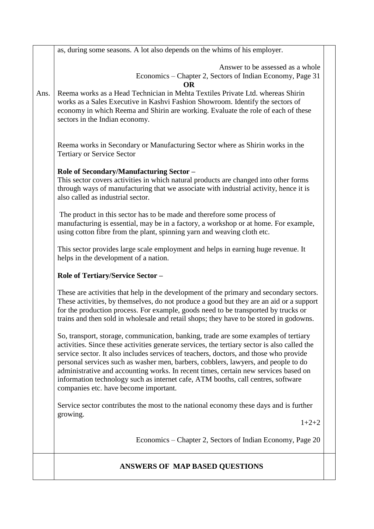|      | as, during some seasons. A lot also depends on the whims of his employer.                                                                                                                                                                                                                                                                                                                                                                                                                                                                                                              |  |
|------|----------------------------------------------------------------------------------------------------------------------------------------------------------------------------------------------------------------------------------------------------------------------------------------------------------------------------------------------------------------------------------------------------------------------------------------------------------------------------------------------------------------------------------------------------------------------------------------|--|
| Ans. | Answer to be assessed as a whole<br>Economics – Chapter 2, Sectors of Indian Economy, Page 31<br>OR<br>Reema works as a Head Technician in Mehta Textiles Private Ltd. whereas Shirin<br>works as a Sales Executive in Kashvi Fashion Showroom. Identify the sectors of<br>economy in which Reema and Shirin are working. Evaluate the role of each of these<br>sectors in the Indian economy.                                                                                                                                                                                         |  |
|      | Reema works in Secondary or Manufacturing Sector where as Shirin works in the<br><b>Tertiary or Service Sector</b>                                                                                                                                                                                                                                                                                                                                                                                                                                                                     |  |
|      | Role of Secondary/Manufacturing Sector -<br>This sector covers activities in which natural products are changed into other forms<br>through ways of manufacturing that we associate with industrial activity, hence it is<br>also called as industrial sector.                                                                                                                                                                                                                                                                                                                         |  |
|      | The product in this sector has to be made and therefore some process of<br>manufacturing is essential, may be in a factory, a workshop or at home. For example,<br>using cotton fibre from the plant, spinning yarn and weaving cloth etc.                                                                                                                                                                                                                                                                                                                                             |  |
|      | This sector provides large scale employment and helps in earning huge revenue. It<br>helps in the development of a nation.                                                                                                                                                                                                                                                                                                                                                                                                                                                             |  |
|      | Role of Tertiary/Service Sector -                                                                                                                                                                                                                                                                                                                                                                                                                                                                                                                                                      |  |
|      | These are activities that help in the development of the primary and secondary sectors.<br>These activities, by themselves, do not produce a good but they are an aid or a support<br>for the production process. For example, goods need to be transported by trucks or<br>trains and then sold in wholesale and retail shops; they have to be stored in godowns.                                                                                                                                                                                                                     |  |
|      | So, transport, storage, communication, banking, trade are some examples of tertiary<br>activities. Since these activities generate services, the tertiary sector is also called the<br>service sector. It also includes services of teachers, doctors, and those who provide<br>personal services such as washer men, barbers, cobblers, lawyers, and people to do<br>administrative and accounting works. In recent times, certain new services based on<br>information technology such as internet cafe, ATM booths, call centres, software<br>companies etc. have become important. |  |
|      | Service sector contributes the most to the national economy these days and is further<br>growing.<br>$1+2+2$                                                                                                                                                                                                                                                                                                                                                                                                                                                                           |  |
|      | Economics – Chapter 2, Sectors of Indian Economy, Page 20                                                                                                                                                                                                                                                                                                                                                                                                                                                                                                                              |  |
|      | <b>ANSWERS OF MAP BASED QUESTIONS</b>                                                                                                                                                                                                                                                                                                                                                                                                                                                                                                                                                  |  |